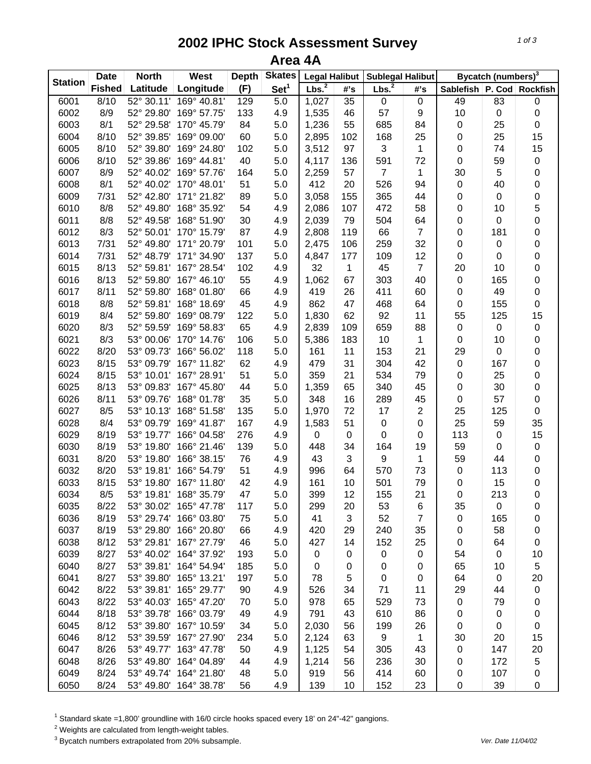## **2002 IPHC Stock Assessment Survey Area 4A**

|                | <b>Date</b>   | <b>North</b> | West                   | <b>Depth</b> | <b>Skates</b>    | <b>Legal Halibut</b> |                 | <b>Sublegal Halibut</b> |                  | Bycatch (numbers) <sup>3</sup> |           |                 |  |
|----------------|---------------|--------------|------------------------|--------------|------------------|----------------------|-----------------|-------------------------|------------------|--------------------------------|-----------|-----------------|--|
| <b>Station</b> | <b>Fished</b> | Latitude     | Longitude              | (F)          | Set <sup>1</sup> | Lbs. <sup>2</sup>    | #'s             | Lbs. <sup>2</sup>       | #'s              | Sablefish                      |           | P. Cod Rockfish |  |
| 6001           | 8/10          | 52° 30.11'   | 169° 40.81'            | 129          | 5.0              | 1,027                | $\overline{35}$ | $\pmb{0}$               | $\pmb{0}$        | 49                             | 83        | $\pmb{0}$       |  |
| 6002           | 8/9           | 52° 29.80'   | 169° 57.75'            | 133          | 4.9              | 1,535                | 46              | 57                      | $\boldsymbol{9}$ | 10                             | $\pmb{0}$ | $\pmb{0}$       |  |
| 6003           | 8/1           | 52° 29.58'   | 170° 45.79'            | 84           | 5.0              | 1,236                | 55              | 685                     | 84               | 0                              | 25        | $\mathbf 0$     |  |
| 6004           | 8/10          | 52° 39.85'   | 169° 09.00'            | 60           | 5.0              | 2,895                | 102             | 168                     | 25               | 0                              | 25        | 15              |  |
| 6005           | 8/10          | 52° 39.80'   | 169° 24.80'            | 102          | 5.0              | 3,512                | 97              | 3                       | 1                | 0                              | 74        | 15              |  |
| 6006           | 8/10          | 52° 39.86'   | 169° 44.81'            | 40           | 5.0              | 4,117                | 136             | 591                     | 72               | 0                              | 59        | $\pmb{0}$       |  |
| 6007           | 8/9           | 52° 40.02'   | 169° 57.76'            | 164          | 5.0              | 2,259                | 57              | $\overline{7}$          | 1                | 30                             | 5         | 0               |  |
| 6008           | 8/1           | 52° 40.02'   | 170° 48.01'            | 51           | 5.0              | 412                  | 20              | 526                     | 94               | 0                              | 40        | 0               |  |
| 6009           | 7/31          | 52° 42.80'   | 171° 21.82'            | 89           | 5.0              | 3,058                | 155             | 365                     | 44               | 0                              | $\pmb{0}$ | 0               |  |
| 6010           | 8/8           | 52° 49.80'   | 168° 35.92'            | 54           | 4.9              | 2,086                | 107             | 472                     | 58               | 0                              | 10        | 5               |  |
| 6011           | 8/8           | 52° 49.58'   | 168° 51.90'            | 30           | 4.9              | 2,039                | 79              | 504                     | 64               | 0                              | $\pmb{0}$ | 0               |  |
| 6012           | 8/3           | 52° 50.01'   | 170° 15.79'            | 87           | 4.9              | 2,808                | 119             | 66                      | $\overline{7}$   | 0                              | 181       | 0               |  |
| 6013           | 7/31          | 52° 49.80'   | 171° 20.79'            | 101          | 5.0              | 2,475                | 106             | 259                     | 32               | 0                              | $\pmb{0}$ | 0               |  |
| 6014           | 7/31          | 52° 48.79'   | 171° 34.90'            | 137          | 5.0              | 4,847                | 177             | 109                     | 12               | 0                              | 0         | 0               |  |
| 6015           | 8/13          | 52° 59.81'   | 167° 28.54'            | 102          | 4.9              | 32                   | $\mathbf{1}$    | 45                      | $\overline{7}$   | 20                             | 10        | 0               |  |
| 6016           | 8/13          | 52° 59.80'   | 167° 46.10'            | 55           | 4.9              | 1,062                | 67              | 303                     | 40               | $\mathbf 0$                    | 165       | $\pmb{0}$       |  |
| 6017           | 8/11          | 52° 59.80'   | 168° 01.80'            | 66           | 4.9              | 419                  | 26              | 411                     | 60               | 0                              | 49        | $\mathbf 0$     |  |
| 6018           | 8/8           | 52° 59.81'   | 168° 18.69'            | 45           | 4.9              | 862                  | 47              | 468                     | 64               | $\,0\,$                        | 155       | $\mathbf 0$     |  |
| 6019           | 8/4           | 52° 59.80'   | 169° 08.79'            | 122          | 5.0              | 1,830                | 62              | 92                      | 11               | 55                             | 125       | 15              |  |
| 6020           | 8/3           | 52° 59.59'   | 169° 58.83'            | 65           | 4.9              | 2,839                | 109             | 659                     | 88               | $\mathbf 0$                    | $\pmb{0}$ | $\pmb{0}$       |  |
| 6021           | 8/3           | 53° 00.06'   | 170° 14.76'            | 106          | 5.0              | 5,386                | 183             | 10                      | $\mathbf{1}$     | $\boldsymbol{0}$               | 10        | 0               |  |
| 6022           | 8/20          | 53° 09.73'   | 166° 56.02'            | 118          | 5.0              | 161                  | 11              | 153                     | 21               | 29                             | $\pmb{0}$ | 0               |  |
| 6023           | 8/15          | 53° 09.79'   | 167° 11.82'            | 62           | 4.9              | 479                  | 31              | 304                     | 42               | $\mathbf 0$                    | 167       | 0               |  |
| 6024           | 8/15          | 53° 10.01'   | 167° 28.91'            | 51           | 5.0              | 359                  | 21              | 534                     | 79               | $\boldsymbol{0}$               | 25        | 0               |  |
| 6025           | 8/13          | 53° 09.83'   | 167° 45.80'            | 44           | 5.0              | 1,359                | 65              | 340                     | 45               | 0                              | 30        | $\mathsf 0$     |  |
| 6026           | 8/11          | 53° 09.76'   | 168° 01.78'            | 35           | 5.0              | 348                  | 16              | 289                     | 45               | 0                              | 57        | $\mathsf 0$     |  |
| 6027           | 8/5           | 53° 10.13'   | 168° 51.58'            | 135          | 5.0              | 1,970                | 72              | 17                      | 2                | 25                             | 125       | $\mathbf 0$     |  |
| 6028           | 8/4           | 53° 09.79'   | 169° 41.87'            | 167          | 4.9              | 1,583                | 51              | $\mathbf 0$             | 0                | 25                             | 59        | 35              |  |
| 6029           | 8/19          | 53° 19.77'   | 166° 04.58'            | 276          | 4.9              | 0                    | 0               | $\mathbf 0$             | 0                | 113                            | $\pmb{0}$ | 15              |  |
| 6030           | 8/19          | 53° 19.80'   | 166° 21.46'            | 139          | 5.0              | 448                  | 34              | 164                     | 19               | 59                             | 0         | $\pmb{0}$       |  |
| 6031           | 8/20          | 53° 19.80'   | 166° 38.15'            | 76           | 4.9              | 43                   | $\sqrt{3}$      | $\boldsymbol{9}$        | $\mathbf{1}$     | 59                             | 44        | $\mathsf 0$     |  |
| 6032           | 8/20          | 53° 19.81'   | 166° 54.79'            | 51           | 4.9              | 996                  | 64              | 570                     | 73               | $\boldsymbol{0}$               | 113       | $\mathsf 0$     |  |
| 6033           | 8/15          | 53° 19.80'   | 167° 11.80'            | 42           | 4.9              | 161                  | 10              | 501                     | 79               | 0                              | 15        | 0               |  |
| 6034           | 8/5           | 53° 19.81'   | 168° 35.79'            | 47           | 5.0              | 399                  | 12              | 155                     | 21               | 0                              | 213       | $\mathbf 0$     |  |
| 6035           | 8/22          | 53° 30.02'   | 165° 47.78'            | 117          | 5.0              | 299                  | 20              | 53                      | 6                | 35                             | $\pmb{0}$ | $\pmb{0}$       |  |
| 6036           | 8/19          | 53° 29.74'   | 166° 03.80'            | 75           | 5.0              | 41                   | 3               | 52                      | $\overline{7}$   | 0                              | 165       | 0               |  |
| 6037           | 8/19          | 53° 29.80'   | 166° 20.80'            | 66           | 4.9              | 420                  | 29              | 240                     | 35               | 0                              | 58        | 0               |  |
| 6038           | 8/12          |              | 53° 29.81' 167° 27.79' | 46           | 5.0              | 427                  | 14              | 152                     | 25               | 0                              | 64        | 0               |  |
| 6039           | 8/27          | 53° 40.02'   | 164° 37.92'            | 193          | 5.0              | 0                    | 0               | $\pmb{0}$               | 0                | 54                             | $\pmb{0}$ | 10              |  |
| 6040           | 8/27          |              | 53° 39.81' 164° 54.94' | 185          | 5.0              | 0                    | 0               | 0                       | 0                | 65                             | 10        | 5               |  |
| 6041           | 8/27          | 53° 39.80'   | 165° 13.21'            | 197          | 5.0              | 78                   | 5               | $\pmb{0}$               | 0                | 64                             | 0         | 20              |  |
| 6042           | 8/22          |              | 53° 39.81' 165° 29.77' | 90           | 4.9              | 526                  | 34              | 71                      | 11               | 29                             | 44        | $\pmb{0}$       |  |
| 6043           | 8/22          | 53° 40.03'   | 165° 47.20'            | 70           | 5.0              | 978                  | 65              | 529                     | 73               | 0                              | 79        | 0               |  |
| 6044           | 8/18          | 53° 39.78'   | 166° 03.79'            | 49           | 4.9              | 791                  | 43              | 610                     | 86               | 0                              | 0         | 0               |  |
| 6045           | 8/12          | 53° 39.80'   | 167° 10.59'            | 34           | 5.0              | 2,030                | 56              | 199                     | 26               | 0                              | 0         | 0               |  |
| 6046           | 8/12          | 53° 39.59'   | 167° 27.90'            | 234          | 5.0              | 2,124                | 63              | 9                       | 1                | 30                             | 20        | 15              |  |
| 6047           | 8/26          | 53° 49.77'   | 163° 47.78'            | 50           | 4.9              | 1,125                | 54              | 305                     | 43               | 0                              | 147       | 20              |  |
| 6048           | 8/26          | 53° 49.80'   | 164° 04.89'            | 44           | 4.9              | 1,214                | 56              | 236                     | 30               | 0                              | 172       | 5               |  |
| 6049           | 8/24          | 53° 49.74'   | 164° 21.80'            | 48           | 5.0              | 919                  | 56              | 414                     | 60               | 0                              | 107       | $\pmb{0}$       |  |
| 6050           | 8/24          | 53° 49.80'   | 164° 38.78'            | 56           | 4.9              | 139                  | 10              | 152                     | 23               | 0                              | 39        | 0               |  |

<sup>1</sup> Standard skate =1,800' groundline with 16/0 circle hooks spaced every 18' on 24"-42" gangions.

 $2$  Weights are calculated from length-weight tables.

<sup>3</sup> Bycatch numbers extrapolated from 20% subsample. We also a strategies and the vertext of the 11/04/02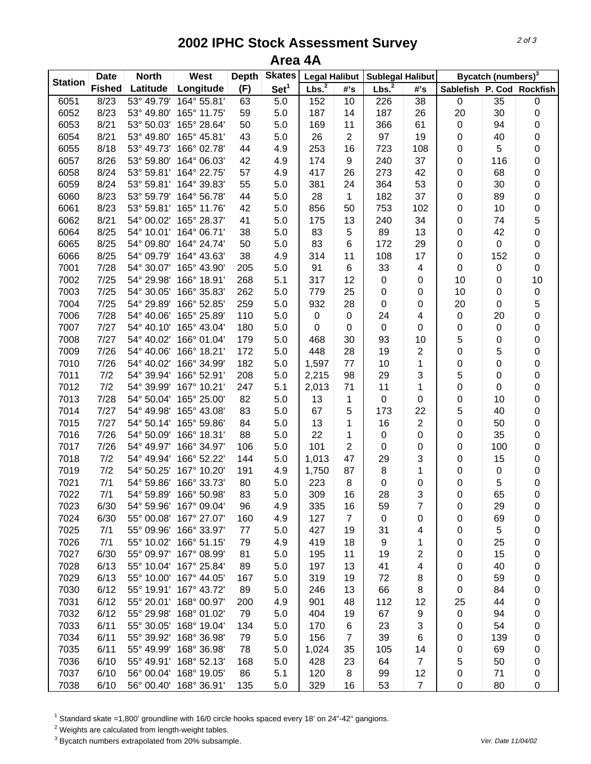## **2002 IPHC Stock Assessment Survey Area 4A**

|                | <b>Date</b><br><b>North</b> |            | West                   | <b>Depth</b> | <b>Skates</b>    | <b>Legal Halibut</b> |                | <b>Sublegal Halibut</b> |                         |                               | Bycatch (numbers) <sup>3</sup> |                  |
|----------------|-----------------------------|------------|------------------------|--------------|------------------|----------------------|----------------|-------------------------|-------------------------|-------------------------------|--------------------------------|------------------|
| <b>Station</b> | <b>Fished</b>               | Latitude   | Longitude              | (F)          | Set <sup>1</sup> | Lbs. <sup>2</sup>    | #'s            | Lbs. <sup>2</sup>       | #'s                     | Sablefish   P. Cod   Rockfish |                                |                  |
| 6051           | 8/23                        | 53° 49.79' | 164° 55.81'            | 63           | 5.0              | 152                  | 10             | 226                     | 38                      | $\mathbf 0$                   | 35                             | 0                |
| 6052           | 8/23                        | 53° 49.80' | 165° 11.75'            | 59           | 5.0              | 187                  | 14             | 187                     | 26                      | 20                            | 30                             | $\pmb{0}$        |
| 6053           | 8/21                        | 53° 50.03' | 165° 28.64'            | 50           | 5.0              | 169                  | 11             | 366                     | 61                      | 0                             | 94                             | $\mathbf 0$      |
| 6054           | 8/21                        | 53° 49.80' | 165° 45.81'            | 43           | 5.0              | 26                   | 2              | 97                      | 19                      | 0                             | 40                             | $\mathbf 0$      |
| 6055           | 8/18                        | 53° 49.73' | 166° 02.78'            | 44           | 4.9              | 253                  | 16             | 723                     | 108                     | 0                             | 5                              | $\mathbf 0$      |
| 6057           | 8/26                        | 53° 59.80' | 164° 06.03'            | 42           | 4.9              | 174                  | 9              | 240                     | 37                      | 0                             | 116                            | $\mathbf 0$      |
| 6058           | 8/24                        | 53° 59.81' | 164° 22.75'            | 57           | 4.9              | 417                  | 26             | 273                     | 42                      | 0                             | 68                             | $\mathbf 0$      |
| 6059           | 8/24                        | 53° 59.81' | 164° 39.83'            | 55           | 5.0              | 381                  | 24             | 364                     | 53                      | 0                             | 30                             | $\mathbf 0$      |
| 6060           | 8/23                        | 53° 59.79' | 164° 56.78'            | 44           | 5.0              | 28                   | 1              | 182                     | 37                      | 0                             | 89                             | $\mathbf 0$      |
| 6061           | 8/23                        |            | 53° 59.81' 165° 11.76' | 42           | 5.0              | 856                  | 50             | 753                     | 102                     | 0                             | 10                             | $\pmb{0}$        |
| 6062           | 8/21                        | 54° 00.02' | 165° 28.37'            | 41           | 5.0              | 175                  | 13             | 240                     | 34                      | 0                             | 74                             | 5                |
| 6064           | 8/25                        | 54° 10.01' | 164° 06.71'            | 38           | 5.0              | 83                   | 5              | 89                      | 13                      | 0                             | 42                             | 0                |
| 6065           | 8/25                        | 54° 09.80' | 164° 24.74'            | 50           | 5.0              | 83                   | 6              | 172                     | 29                      | 0                             | 0                              | $\mathbf 0$      |
| 6066           | 8/25                        | 54° 09.79' | 164° 43.63'            | 38           | 4.9              | 314                  | 11             | 108                     | 17                      | 0                             | 152                            | $\mathbf 0$      |
| 7001           | 7/28                        | 54° 30.07' | 165° 43.90'            | 205          | 5.0              | 91                   | 6              | 33                      | 4                       | 0                             | 0                              | $\mathbf 0$      |
| 7002           | 7/25                        | 54° 29.98' | 166° 18.91'            | 268          | 5.1              | 317                  | 12             | $\pmb{0}$               | 0                       | 10                            | 0                              | 10               |
| 7003           | 7/25                        | 54° 30.05' | 166° 35.83'            | 262          | 5.0              | 779                  | 25             | 0                       | 0                       | 10                            | 0                              | $\mathbf 0$      |
| 7004           | 7/25                        | 54° 29.89' | 166° 52.85'            | 259          | 5.0              | 932                  | 28             | $\pmb{0}$               | 0                       | 20                            | 0                              | 5                |
| 7006           | 7/28                        | 54° 40.06' | 165° 25.89'            | 110          | 5.0              | $\boldsymbol{0}$     | 0              | 24                      | 4                       | 0                             | 20                             | $\pmb{0}$        |
| 7007           | 7/27                        | 54° 40.10' | 165° 43.04'            | 180          | 5.0              | $\mathbf 0$          | 0              | $\mathbf 0$             | 0                       | 0                             | 0                              | $\mathbf 0$      |
| 7008           | 7/27                        | 54° 40.02' | 166° 01.04'            | 179          | 5.0              | 468                  | 30             | 93                      | 10                      | 5                             | 0                              | $\mathbf 0$      |
| 7009           | 7/26                        | 54° 40.06' | 166° 18.21'            | 172          | 5.0              | 448                  | 28             | 19                      | $\overline{\mathbf{c}}$ | $\mathsf 0$                   | 5                              | $\pmb{0}$        |
| 7010           | 7/26                        | 54° 40.02' | 166° 34.99'            | 182          | 5.0              | 1,597                | 77             | 10                      | 1                       | 0                             | 0                              | $\pmb{0}$        |
| 7011           | 7/2                         | 54° 39.94' | 166° 52.91'            | 208          | 5.0              | 2,215                | 98             | 29                      | 3                       | 5                             | 0                              | $\mathbf 0$      |
| 7012           | 7/2                         | 54° 39.99' | 167° 10.21'            | 247          | 5.1              | 2,013                | 71             | 11                      | 1                       | 0                             | 0                              | $\mathbf 0$      |
| 7013           | 7/28                        | 54° 50.04' | 165° 25.00'            | 82           | 5.0              | 13                   | 1              | $\pmb{0}$               | 0                       | 0                             | 10                             | $\pmb{0}$        |
| 7014           | 7/27                        | 54° 49.98' | 165° 43.08'            | 83           | 5.0              | 67                   | 5              | 173                     | 22                      | 5                             | 40                             | $\mathbf 0$      |
| 7015           | 7/27                        | 54° 50.14' | 165° 59.86'            | 84           | 5.0              | 13                   | 1              | 16                      | 2                       | 0                             | 50                             | $\mathbf 0$      |
| 7016           | 7/26                        | 54° 50.09' | 166° 18.31'            | 88           | 5.0              | 22                   | 1              | $\pmb{0}$               | 0                       | 0                             | 35                             | 0                |
| 7017           | 7/26                        | 54° 49.97' | 166° 34.97'            | 106          | 5.0              | 101                  | 2              | 0                       | 0                       | 0                             | 100                            | $\mathbf 0$      |
| 7018           | 7/2                         | 54° 49.94' | 166° 52.22'            | 144          | 5.0              | 1,013                | 47             | 29                      | 3                       | 0                             | 15                             | 0                |
| 7019           | 7/2                         | 54° 50.25' | 167° 10.20'            | 191          | 4.9              | 1,750                | 87             | 8                       | 1                       | 0                             | 0                              | $\mathbf 0$      |
| 7021           | 7/1                         | 54° 59.86' | 166° 33.73'            | 80           | 5.0              | 223                  | 8              | 0                       | 0                       | 0                             | 5                              | $\mathbf 0$      |
| 7022           | 7/1                         | 54° 59.89' | 166° 50.98'            | 83           | 5.0              | 309                  | 16             | 28                      | 3                       | 0                             | 65                             | $\mathbf 0$      |
| 7023           | 6/30                        | 54° 59.96' | 167° 09.04'            | 96           | 4.9              | 335                  | 16             | 59                      | 7                       | 0                             | 29                             | 0                |
| 7024           | 6/30                        | 55° 00.08' | 167° 27.07'            | 160          | 4.9              | 127                  | $\overline{7}$ | $\mathbf 0$             | 0                       | 0                             | 69                             | 0                |
| 7025           | 7/1                         | 55° 09.96' | 166° 33.97'            | 77           | 5.0              | 427                  | 19             | 31                      | 4                       | 0                             | 5                              | $\pmb{0}$        |
| 7026           | 7/1                         |            | 55° 10.02' 166° 51.15' | 79           | 4.9              | 419                  | 18             | 9                       | 1                       | 0                             | 25                             | 0                |
| 7027           | 6/30                        |            | 55° 09.97' 167° 08.99' | 81           | 5.0              | 195                  | 11             | 19                      | 2                       | 0                             | 15                             | 0                |
| 7028           | 6/13                        |            | 55° 10.04' 167° 25.84' | 89           | 5.0              | 197                  | 13             | 41                      | 4                       | 0                             | 40                             | 0                |
| 7029           | 6/13                        | 55° 10.00' | 167° 44.05'            | 167          | 5.0              | 319                  | 19             | 72                      | 8                       | 0                             | 59                             | 0                |
| 7030           | 6/12                        |            | 55° 19.91' 167° 43.72' | 89           | 5.0              | 246                  | 13             | 66                      | 8                       | 0                             | 84                             | 0                |
| 7031           | 6/12                        |            | 55° 20.01' 168° 00.97' | 200          | 4.9              | 901                  | 48             | 112                     | 12                      | 25                            | 44                             | 0                |
| 7032           | 6/12                        | 55° 29.98' | 168° 01.02'            | 79           | 5.0              | 404                  | 19             | 67                      | 9                       | 0                             | 94                             | 0                |
| 7033           | 6/11                        | 55° 30.05' | 168° 19.04'            | 134          | 5.0              | 170                  | 6              | 23                      | 3                       | 0                             | 54                             | 0                |
| 7034           | 6/11                        | 55° 39.92' | 168° 36.98'            | 79           | 5.0              | 156                  | $\overline{7}$ | 39                      | 6                       | 0                             | 139                            | 0                |
| 7035           | 6/11                        | 55° 49.99' | 168° 36.98'            | 78           | 5.0              | 1,024                | 35             | 105                     | 14                      | 0                             | 69                             | 0                |
| 7036           | 6/10                        | 55° 49.91' | 168° 52.13'            | 168          | 5.0              | 428                  | 23             | 64                      | $\overline{7}$          | 5                             | 50                             | 0                |
| 7037           | 6/10                        | 56° 00.04' | 168° 19.05'            | 86           | 5.1              | 120                  | 8              | 99                      | 12                      | 0                             | 71                             | 0                |
| 7038           | 6/10                        | 56° 00.40' | 168° 36.91'            | 135          | 5.0              | 329                  | 16             | 53                      | $\overline{7}$          | 0                             | 80                             | $\boldsymbol{0}$ |

<sup>1</sup> Standard skate =1,800' groundline with 16/0 circle hooks spaced every 18' on 24"-42" gangions.

 $2$  Weights are calculated from length-weight tables.

<sup>3</sup> Bycatch numbers extrapolated from 20% subsample. We also a strategies and the vertext of the 11/04/02